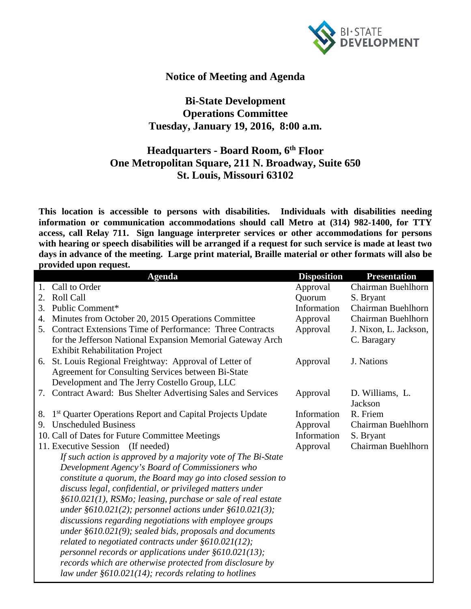

## **Notice of Meeting and Agenda**

## **Bi-State Development Operations Committee Tuesday, January 19, 2016, 8:00 a.m.**

## **Headquarters - Board Room, 6th Floor One Metropolitan Square, 211 N. Broadway, Suite 650 St. Louis, Missouri 63102**

**This location is accessible to persons with disabilities. Individuals with disabilities needing information or communication accommodations should call Metro at (314) 982-1400, for TTY access, call Relay 711. Sign language interpreter services or other accommodations for persons with hearing or speech disabilities will be arranged if a request for such service is made at least two days in advance of the meeting. Large print material, Braille material or other formats will also be provided upon request.**

|                                      | <b>Agenda</b>                                                         | <b>Disposition</b> | <b>Presentation</b>   |
|--------------------------------------|-----------------------------------------------------------------------|--------------------|-----------------------|
| 1.                                   | Call to Order                                                         | Approval           | Chairman Buehlhorn    |
| 2.                                   | Roll Call                                                             | Quorum             | S. Bryant             |
| 3.                                   | Public Comment*                                                       | Information        | Chairman Buehlhorn    |
| 4.                                   | Minutes from October 20, 2015 Operations Committee                    | Approval           | Chairman Buehlhorn    |
| $5_{-}$                              | Contract Extensions Time of Performance: Three Contracts              | Approval           | J. Nixon, L. Jackson, |
|                                      | for the Jefferson National Expansion Memorial Gateway Arch            |                    | C. Baragary           |
|                                      | <b>Exhibit Rehabilitation Project</b>                                 |                    |                       |
|                                      | 6. St. Louis Regional Freightway: Approval of Letter of               | Approval           | J. Nations            |
|                                      | Agreement for Consulting Services between Bi-State                    |                    |                       |
|                                      | Development and The Jerry Costello Group, LLC                         |                    |                       |
|                                      | 7. Contract Award: Bus Shelter Advertising Sales and Services         | Approval           | D. Williams, L.       |
|                                      |                                                                       |                    | Jackson               |
| 8.                                   | 1 <sup>st</sup> Quarter Operations Report and Capital Projects Update | Information        | R. Friem              |
| 9.                                   | <b>Unscheduled Business</b>                                           | Approval           | Chairman Buehlhorn    |
|                                      | 10. Call of Dates for Future Committee Meetings                       | Information        | S. Bryant             |
| 11. Executive Session<br>(If needed) |                                                                       | Approval           | Chairman Buehlhorn    |
|                                      | If such action is approved by a majority vote of The Bi-State         |                    |                       |
|                                      | Development Agency's Board of Commissioners who                       |                    |                       |
|                                      | constitute a quorum, the Board may go into closed session to          |                    |                       |
|                                      | discuss legal, confidential, or privileged matters under              |                    |                       |
|                                      | §610.021(1), RSMo; leasing, purchase or sale of real estate           |                    |                       |
|                                      | under $\S610.021(2)$ ; personnel actions under $\S610.021(3)$ ;       |                    |                       |
|                                      | discussions regarding negotiations with employee groups               |                    |                       |
|                                      | under $\S610.021(9)$ ; sealed bids, proposals and documents           |                    |                       |
|                                      | related to negotiated contracts under $§610.021(12);$                 |                    |                       |
|                                      | personnel records or applications under $\S610.021(13)$ ;             |                    |                       |
|                                      | records which are otherwise protected from disclosure by              |                    |                       |
|                                      | law under $\S610.021(14)$ ; records relating to hotlines              |                    |                       |